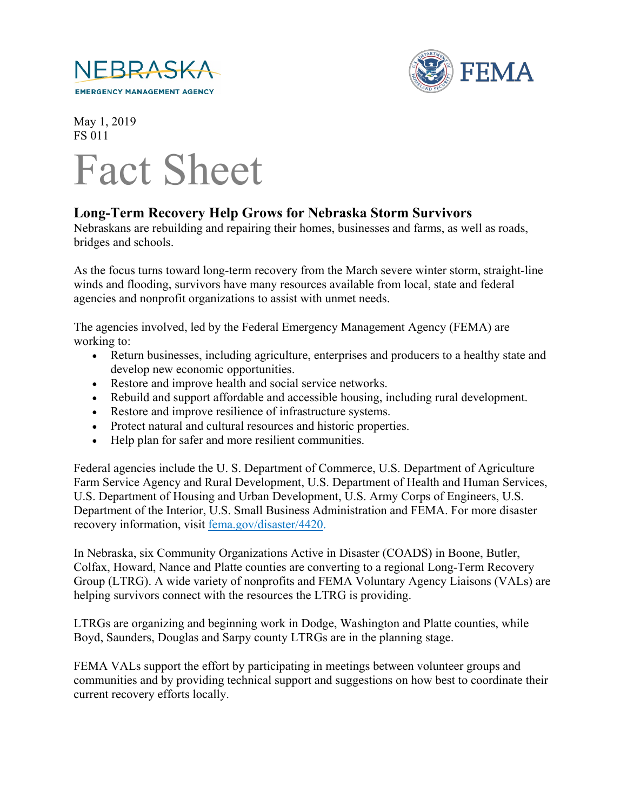



May 1, 2019 FS 011

## Fact Sheet

## **Long-Term Recovery Help Grows for Nebraska Storm Survivors**

Nebraskans are rebuilding and repairing their homes, businesses and farms, as well as roads, bridges and schools.

As the focus turns toward long-term recovery from the March severe winter storm, straight-line winds and flooding, survivors have many resources available from local, state and federal agencies and nonprofit organizations to assist with unmet needs.

The agencies involved, led by the Federal Emergency Management Agency (FEMA) are working to:

- Return businesses, including agriculture, enterprises and producers to a healthy state and develop new economic opportunities.
- Restore and improve health and social service networks.
- Rebuild and support affordable and accessible housing, including rural development.
- Restore and improve resilience of infrastructure systems.
- Protect natural and cultural resources and historic properties.
- Help plan for safer and more resilient communities.

Federal agencies include the U. S. Department of Commerce, U.S. Department of Agriculture Farm Service Agency and Rural Development, U.S. Department of Health and Human Services, U.S. Department of Housing and Urban Development, U.S. Army Corps of Engineers, U.S. Department of the Interior, U.S. Small Business Administration and FEMA. For more disaster recovery information, visit [fema.gov/disaster/4420.](https://www.fema.gov/disaster/4420)

In Nebraska, six Community Organizations Active in Disaster (COADS) in Boone, Butler, Colfax, Howard, Nance and Platte counties are converting to a regional Long-Term Recovery Group (LTRG). A wide variety of nonprofits and FEMA Voluntary Agency Liaisons (VALs) are helping survivors connect with the resources the LTRG is providing.

LTRGs are organizing and beginning work in Dodge, Washington and Platte counties, while Boyd, Saunders, Douglas and Sarpy county LTRGs are in the planning stage.

FEMA VALs support the effort by participating in meetings between volunteer groups and communities and by providing technical support and suggestions on how best to coordinate their current recovery efforts locally.